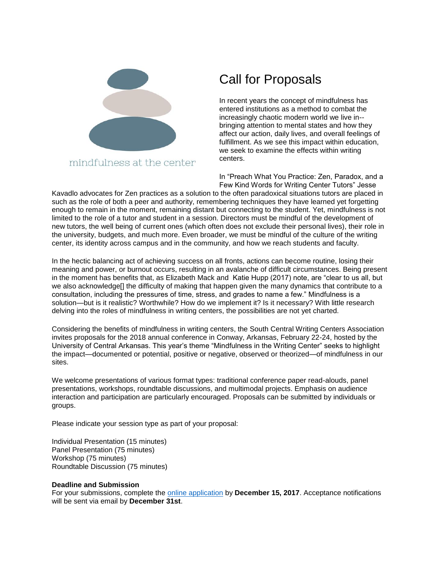

mindfulness at the center

## Call for Proposals

In recent years the concept of mindfulness has entered institutions as a method to combat the increasingly chaotic modern world we live in- bringing attention to mental states and how they affect our action, daily lives, and overall feelings of fulfillment. As we see this impact within education, we seek to examine the effects within writing centers.

In "Preach What You Practice: Zen, Paradox, and a Few Kind Words for Writing Center Tutors" Jesse

Kavadlo advocates for Zen practices as a solution to the often paradoxical situations tutors are placed in such as the role of both a peer and authority, remembering techniques they have learned yet forgetting enough to remain in the moment, remaining distant but connecting to the student. Yet, mindfulness is not limited to the role of a tutor and student in a session. Directors must be mindful of the development of new tutors, the well being of current ones (which often does not exclude their personal lives), their role in the university, budgets, and much more. Even broader, we must be mindful of the culture of the writing center, its identity across campus and in the community, and how we reach students and faculty.

In the hectic balancing act of achieving success on all fronts, actions can become routine, losing their meaning and power, or burnout occurs, resulting in an avalanche of difficult circumstances. Being present in the moment has benefits that, as Elizabeth Mack and Katie Hupp (2017) note, are "clear to us all, but we also acknowledge<sup>[]</sup> the difficulty of making that happen given the many dynamics that contribute to a consultation, including the pressures of time, stress, and grades to name a few." Mindfulness is a solution—but is it realistic? Worthwhile? How do we implement it? Is it necessary? With little research delving into the roles of mindfulness in writing centers, the possibilities are not yet charted.

Considering the benefits of mindfulness in writing centers, the South Central Writing Centers Association invites proposals for the 2018 annual conference in Conway, Arkansas, February 22-24, hosted by the University of Central Arkansas. This year's theme "Mindfulness in the Writing Center" seeks to highlight the impact—documented or potential, positive or negative, observed or theorized—of mindfulness in our sites.

We welcome presentations of various format types: traditional conference paper read-alouds, panel presentations, workshops, roundtable discussions, and multimodal projects. Emphasis on audience interaction and participation are particularly encouraged. Proposals can be submitted by individuals or groups.

Please indicate your session type as part of your proposal:

Individual Presentation (15 minutes) Panel Presentation (75 minutes) Workshop (75 minutes) Roundtable Discussion (75 minutes)

## **Deadline and Submission**

For your submissions, complete the [online application](https://docs.google.com/forms/d/e/1FAIpQLSe2G35L1t3WM5IqiGIoBDvbylt3zCpM6likNIx3Y-uaWhCW1w/viewform?usp=sf_link) by **December 15, 2017**. Acceptance notifications will be sent via email by **December 31st**.